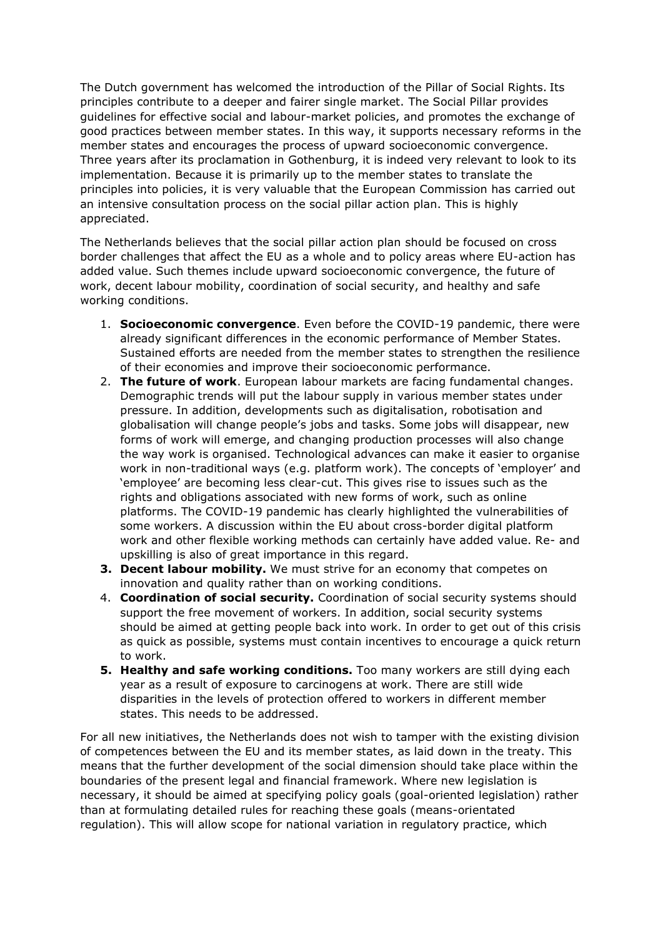The Dutch government has welcomed the introduction of the Pillar of Social Rights. Its principles contribute to a deeper and fairer single market. The Social Pillar provides guidelines for effective social and labour-market policies, and promotes the exchange of good practices between member states. In this way, it supports necessary reforms in the member states and encourages the process of upward socioeconomic convergence. Three years after its proclamation in Gothenburg, it is indeed very relevant to look to its implementation. Because it is primarily up to the member states to translate the principles into policies, it is very valuable that the European Commission has carried out an intensive consultation process on the social pillar action plan. This is highly appreciated.

The Netherlands believes that the social pillar action plan should be focused on cross border challenges that affect the EU as a whole and to policy areas where EU-action has added value. Such themes include upward socioeconomic convergence, the future of work, decent labour mobility, coordination of social security, and healthy and safe working conditions.

- 1. **Socioeconomic convergence**. Even before the COVID-19 pandemic, there were already significant differences in the economic performance of Member States. Sustained efforts are needed from the member states to strengthen the resilience of their economies and improve their socioeconomic performance.
- 2. **The future of work**. European labour markets are facing fundamental changes. Demographic trends will put the labour supply in various member states under pressure. In addition, developments such as digitalisation, robotisation and globalisation will change people's jobs and tasks. Some jobs will disappear, new forms of work will emerge, and changing production processes will also change the way work is organised. Technological advances can make it easier to organise work in non-traditional ways (e.g. platform work). The concepts of 'employer' and 'employee' are becoming less clear-cut. This gives rise to issues such as the rights and obligations associated with new forms of work, such as online platforms. The COVID-19 pandemic has clearly highlighted the vulnerabilities of some workers. A discussion within the EU about cross-border digital platform work and other flexible working methods can certainly have added value. Re- and upskilling is also of great importance in this regard.
- **3. Decent labour mobility.** We must strive for an economy that competes on innovation and quality rather than on working conditions.
- 4. **Coordination of social security.** Coordination of social security systems should support the free movement of workers. In addition, social security systems should be aimed at getting people back into work. In order to get out of this crisis as quick as possible, systems must contain incentives to encourage a quick return to work.
- **5. Healthy and safe working conditions.** Too many workers are still dying each year as a result of exposure to carcinogens at work. There are still wide disparities in the levels of protection offered to workers in different member states. This needs to be addressed.

For all new initiatives, the Netherlands does not wish to tamper with the existing division of competences between the EU and its member states, as laid down in the treaty. This means that the further development of the social dimension should take place within the boundaries of the present legal and financial framework. Where new legislation is necessary, it should be aimed at specifying policy goals (goal-oriented legislation) rather than at formulating detailed rules for reaching these goals (means-orientated regulation). This will allow scope for national variation in regulatory practice, which